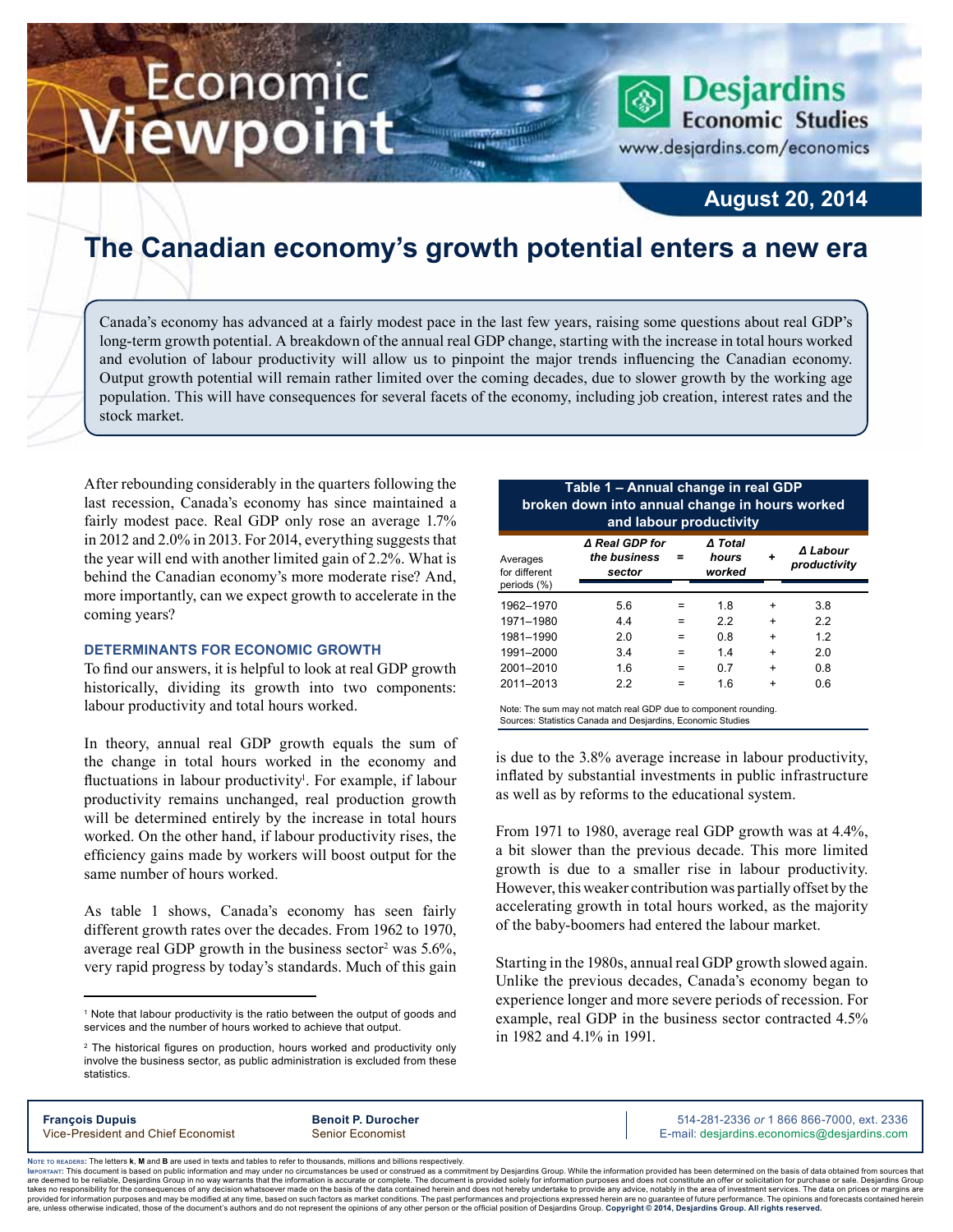# Economic ewpoint

**Desjardins Economic Studies** 

www.desjardins.com/economics

### **August 20, 2014**

## **The Canadian economy's growth potential enters a new era**

Canada's economy has advanced at a fairly modest pace in the last few years, raising some questions about real GDP's long-term growth potential. A breakdown of the annual real GDP change, starting with the increase in total hours worked and evolution of labour productivity will allow us to pinpoint the major trends influencing the Canadian economy. Output growth potential will remain rather limited over the coming decades, due to slower growth by the working age population. This will have consequences for several facets of the economy, including job creation, interest rates and the stock market.

After rebounding considerably in the quarters following the last recession, Canada's economy has since maintained a fairly modest pace. Real GDP only rose an average 1.7% in 2012 and 2.0% in 2013. For 2014, everything suggests that the year will end with another limited gain of 2.2%. What is behind the Canadian economy's more moderate rise? And, more importantly, can we expect growth to accelerate in the coming years?

#### **Determinants for economic growth**

To find our answers, it is helpful to look at real GDP growth historically, dividing its growth into two components: labour productivity and total hours worked.

In theory, annual real GDP growth equals the sum of the change in total hours worked in the economy and fluctuations in labour productivity<sup>1</sup>. For example, if labour productivity remains unchanged, real production growth will be determined entirely by the increase in total hours worked. On the other hand, if labour productivity rises, the efficiency gains made by workers will boost output for the same number of hours worked.

As table 1 shows, Canada's economy has seen fairly different growth rates over the decades. From 1962 to 1970, average real GDP growth in the business sector<sup>2</sup> was  $5.6\%$ , very rapid progress by today's standards. Much of this gain

| broken down into annual change in hours worked<br>and labour productivity |                                          |     |                            |           |                          |  |  |  |
|---------------------------------------------------------------------------|------------------------------------------|-----|----------------------------|-----------|--------------------------|--|--|--|
| Averages<br>for different                                                 | ∆ Real GDP for<br>the business<br>sector |     | ∆ Total<br>hours<br>worked | ٠         | ∆ Labour<br>productivity |  |  |  |
| periods (%)                                                               |                                          |     |                            |           |                          |  |  |  |
| 1962-1970                                                                 | 5.6                                      |     | 1.8                        | $\ddot{}$ | 3.8                      |  |  |  |
| 1971-1980                                                                 | 4.4                                      | $=$ | 2.2                        | $\ddot{}$ | 2.2                      |  |  |  |
| 1981-1990                                                                 | 2.0                                      | $=$ | 0.8                        | $\ddot{}$ | 1.2                      |  |  |  |
| 1991-2000                                                                 | 3.4                                      | $=$ | 1.4                        | $\ddot{}$ | 2.0                      |  |  |  |
| 2001-2010                                                                 | 1.6                                      | $=$ | 0.7                        | $\ddot{}$ | 0.8                      |  |  |  |
| 2011-2013                                                                 | 2.2                                      | =   | 1.6                        | $\ddot{}$ | 0.6                      |  |  |  |

**Table 1 – Annual change in real GDP**

Note: The sum may not match real GDP due to component rounding. Sources: Statistics Canada and Desjardins, Economic Studies

is due to the 3.8% average increase in labour productivity, inflated by substantial investments in public infrastructure as well as by reforms to the educational system.

From 1971 to 1980, average real GDP growth was at 4.4%, a bit slower than the previous decade. This more limited growth is due to a smaller rise in labour productivity. However, this weaker contribution was partially offset by the accelerating growth in total hours worked, as the majority of the baby-boomers had entered the labour market.

Starting in the 1980s, annual real GDP growth slowed again. Unlike the previous decades, Canada's economy began to experience longer and more severe periods of recession. For example, real GDP in the business sector contracted 4.5% in 1982 and 4.1% in 1991.

**François Dupuis Benoit P. Durocher** 514-281-2336 *or* 1 866 866-7000, ext. 2336 Vice-President and Chief Economist Senior Economist Senior Economist E-mail: desjardins.economics@desjardins.com

Noте то келоекs: The letters **k, M** and **B** are used in texts and tables to refer to thousands, millions and billions respectively.<br>Імроктлит: This document is based on public information and may under no circumstances be are deemed to be reliable. Desiardins Group in no way warrants that the information is accurate or complete. The document is provided solely for information purposes and does not constitute an offer or solicitation for pur takes no responsibility for the consequences of any decision whatsoever made on the basis of the data contained herein and does not hereby undertake to provide any advice, notably in the area of investment services. The da .<br>are, unless otherwise indicated, those of the document's authors and do not represent the opinions of any other person or the official position of Desjardins Group. Copyright © 2014, Desjardins Group. All rights reserved

<sup>&</sup>lt;sup>1</sup> Note that labour productivity is the ratio between the output of goods and services and the number of hours worked to achieve that output.

<sup>&</sup>lt;sup>2</sup> The historical figures on production, hours worked and productivity only involve the business sector, as public administration is excluded from these statistics.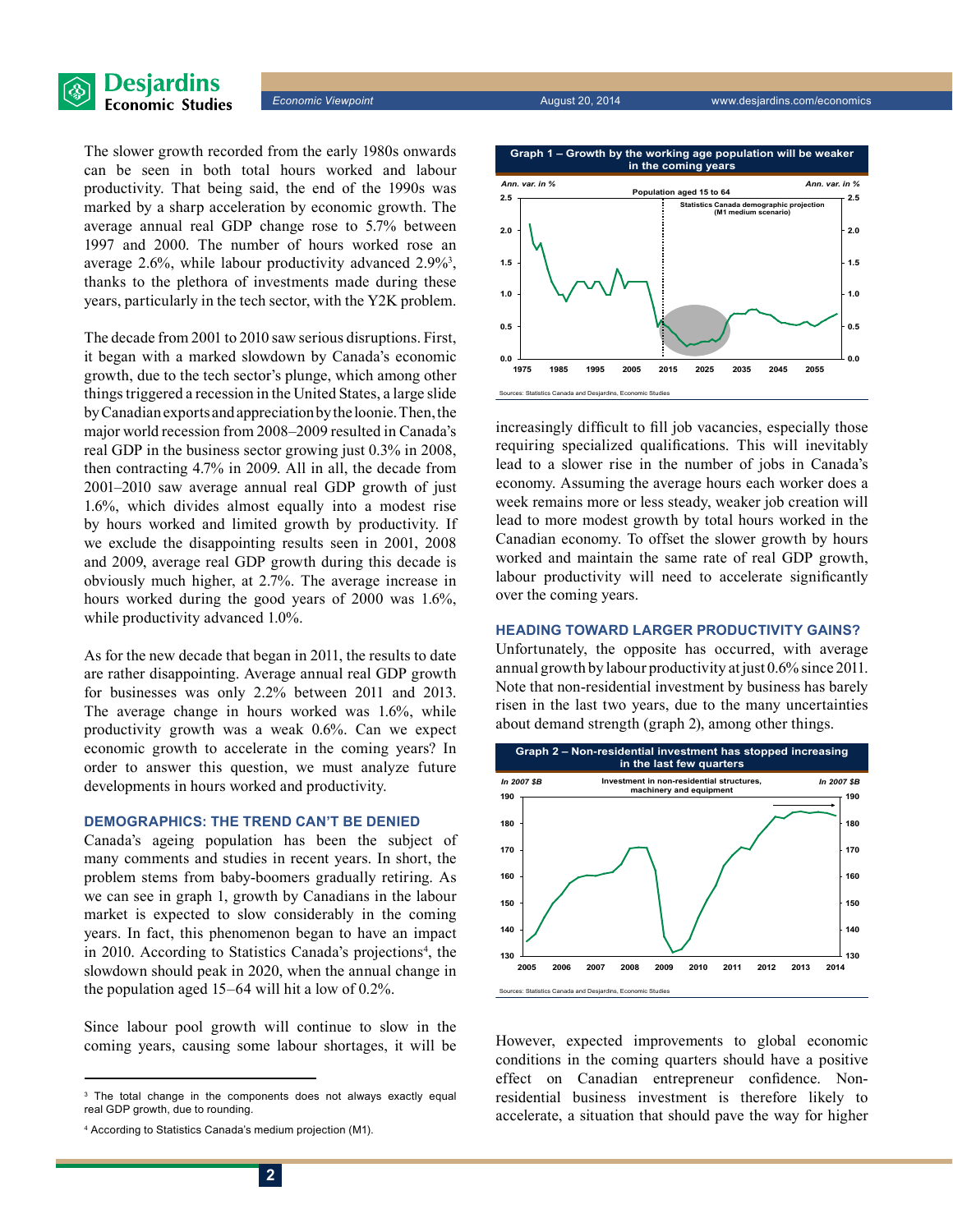



The slower growth recorded from the early 1980s onwards can be seen in both total hours worked and labour productivity. That being said, the end of the 1990s was marked by a sharp acceleration by economic growth. The average annual real GDP change rose to 5.7% between 1997 and 2000. The number of hours worked rose an average 2.6%, while labour productivity advanced 2.9%<sup>3</sup>, thanks to the plethora of investments made during these years, particularly in the tech sector, with the Y2K problem.

The decade from 2001 to 2010 saw serious disruptions. First, it began with a marked slowdown by Canada's economic growth, due to the tech sector's plunge, which among other things triggered a recession in the United States, a large slide by Canadian exports and appreciation by the loonie. Then, the major world recession from 2008–2009 resulted in Canada's real GDP in the business sector growing just 0.3% in 2008, then contracting 4.7% in 2009. All in all, the decade from 2001–2010 saw average annual real GDP growth of just 1.6%, which divides almost equally into a modest rise by hours worked and limited growth by productivity. If we exclude the disappointing results seen in 2001, 2008 and 2009, average real GDP growth during this decade is obviously much higher, at 2.7%. The average increase in hours worked during the good years of 2000 was 1.6%, while productivity advanced 1.0%.

As for the new decade that began in 2011, the results to date are rather disappointing. Average annual real GDP growth for businesses was only 2.2% between 2011 and 2013. The average change in hours worked was 1.6%, while productivity growth was a weak 0.6%. Can we expect economic growth to accelerate in the coming years? In order to answer this question, we must analyze future developments in hours worked and productivity.

#### **Demographics: the trend can't be denied**

Canada's ageing population has been the subject of many comments and studies in recent years. In short, the problem stems from baby-boomers gradually retiring. As we can see in graph 1, growth by Canadians in the labour market is expected to slow considerably in the coming years. In fact, this phenomenon began to have an impact in 2010. According to Statistics Canada's projections<sup>4</sup>, the slowdown should peak in 2020, when the annual change in the population aged 15–64 will hit a low of 0.2%.

Since labour pool growth will continue to slow in the coming years, causing some labour shortages, it will be



increasingly difficult to fill job vacancies, especially those requiring specialized qualifications. This will inevitably lead to a slower rise in the number of jobs in Canada's economy. Assuming the average hours each worker does a week remains more or less steady, weaker job creation will lead to more modest growth by total hours worked in the Canadian economy. To offset the slower growth by hours worked and maintain the same rate of real GDP growth, labour productivity will need to accelerate significantly over the coming years.

#### **Heading toward larger productivity gains?**

Unfortunately, the opposite has occurred, with average annual growth by labour productivity at just 0.6% since 2011. Note that non-residential investment by business has barely risen in the last two years, due to the many uncertainties about demand strength (graph 2), among other things.



However, expected improvements to global economic conditions in the coming quarters should have a positive effect on Canadian entrepreneur confidence. Nonresidential business investment is therefore likely to accelerate, a situation that should pave the way for higher

<sup>3</sup> The total change in the components does not always exactly equal real GDP growth, due to rounding.

<sup>4</sup> According to Statistics Canada's medium projection (M1).